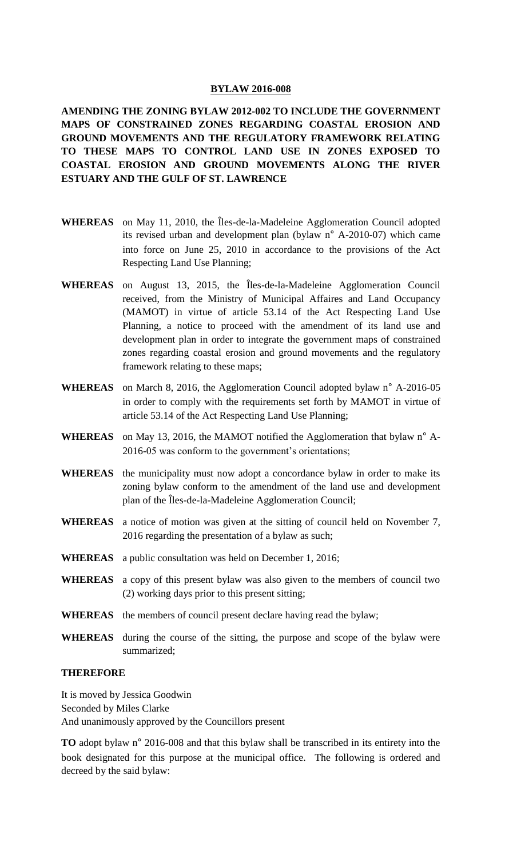### **BYLAW 2016-008**

**AMENDING THE ZONING BYLAW 2012-002 TO INCLUDE THE GOVERNMENT MAPS OF CONSTRAINED ZONES REGARDING COASTAL EROSION AND GROUND MOVEMENTS AND THE REGULATORY FRAMEWORK RELATING TO THESE MAPS TO CONTROL LAND USE IN ZONES EXPOSED TO COASTAL EROSION AND GROUND MOVEMENTS ALONG THE RIVER ESTUARY AND THE GULF OF ST. LAWRENCE** 

- **WHEREAS** on May 11, 2010, the Îles-de-la-Madeleine Agglomeration Council adopted its revised urban and development plan (bylaw n° A-2010-07) which came into force on June 25, 2010 in accordance to the provisions of the Act Respecting Land Use Planning;
- **WHEREAS** on August 13, 2015, the Îles-de-la-Madeleine Agglomeration Council received, from the Ministry of Municipal Affaires and Land Occupancy (MAMOT) in virtue of article 53.14 of the Act Respecting Land Use Planning, a notice to proceed with the amendment of its land use and development plan in order to integrate the government maps of constrained zones regarding coastal erosion and ground movements and the regulatory framework relating to these maps;
- **WHEREAS** on March 8, 2016, the Agglomeration Council adopted bylaw n° A-2016-05 in order to comply with the requirements set forth by MAMOT in virtue of article 53.14 of the Act Respecting Land Use Planning;
- **WHEREAS** on May 13, 2016, the MAMOT notified the Agglomeration that bylaw n° A-2016-05 was conform to the government's orientations;
- **WHEREAS** the municipality must now adopt a concordance bylaw in order to make its zoning bylaw conform to the amendment of the land use and development plan of the Îles-de-la-Madeleine Agglomeration Council;
- **WHEREAS** a notice of motion was given at the sitting of council held on November 7, 2016 regarding the presentation of a bylaw as such;
- **WHEREAS** a public consultation was held on December 1, 2016;
- **WHEREAS** a copy of this present bylaw was also given to the members of council two (2) working days prior to this present sitting;
- **WHEREAS** the members of council present declare having read the bylaw;
- **WHEREAS** during the course of the sitting, the purpose and scope of the bylaw were summarized;

### **THEREFORE**

It is moved by Jessica Goodwin Seconded by Miles Clarke And unanimously approved by the Councillors present

**TO** adopt bylaw n° 2016-008 and that this bylaw shall be transcribed in its entirety into the book designated for this purpose at the municipal office. The following is ordered and decreed by the said bylaw: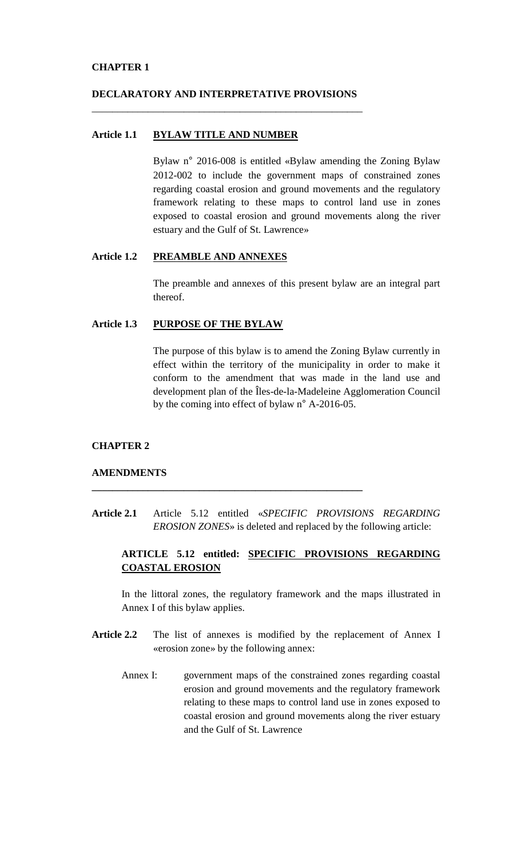## **CHAPTER 1**

## **DECLARATORY AND INTERPRETATIVE PROVISIONS** \_\_\_\_\_\_\_\_\_\_\_\_\_\_\_\_\_\_\_\_\_\_\_\_\_\_\_\_\_\_\_\_\_\_\_\_\_\_\_\_\_\_\_\_\_\_\_\_\_\_\_\_\_

## **Article 1.1 BYLAW TITLE AND NUMBER**

Bylaw n° 2016-008 is entitled «Bylaw amending the Zoning Bylaw 2012-002 to include the government maps of constrained zones regarding coastal erosion and ground movements and the regulatory framework relating to these maps to control land use in zones exposed to coastal erosion and ground movements along the river estuary and the Gulf of St. Lawrence»

## **Article 1.2 PREAMBLE AND ANNEXES**

The preamble and annexes of this present bylaw are an integral part thereof.

## **Article 1.3 PURPOSE OF THE BYLAW**

The purpose of this bylaw is to amend the Zoning Bylaw currently in effect within the territory of the municipality in order to make it conform to the amendment that was made in the land use and development plan of the Îles-de-la-Madeleine Agglomeration Council by the coming into effect of bylaw n° A-2016-05.

#### **CHAPTER 2**

### **AMENDMENTS**

**Article 2.1** Article 5.12 entitled «*SPECIFIC PROVISIONS REGARDING EROSION ZONES*» is deleted and replaced by the following article:

**\_\_\_\_\_\_\_\_\_\_\_\_\_\_\_\_\_\_\_\_\_\_\_\_\_\_\_\_\_\_\_\_\_\_\_\_\_\_\_\_\_\_\_\_\_\_\_\_\_\_\_\_\_**

# **ARTICLE 5.12 entitled: SPECIFIC PROVISIONS REGARDING COASTAL EROSION**

In the littoral zones, the regulatory framework and the maps illustrated in Annex I of this bylaw applies.

- **Article 2.2** The list of annexes is modified by the replacement of Annex I «erosion zone» by the following annex:
	- Annex I: government maps of the constrained zones regarding coastal erosion and ground movements and the regulatory framework relating to these maps to control land use in zones exposed to coastal erosion and ground movements along the river estuary and the Gulf of St. Lawrence